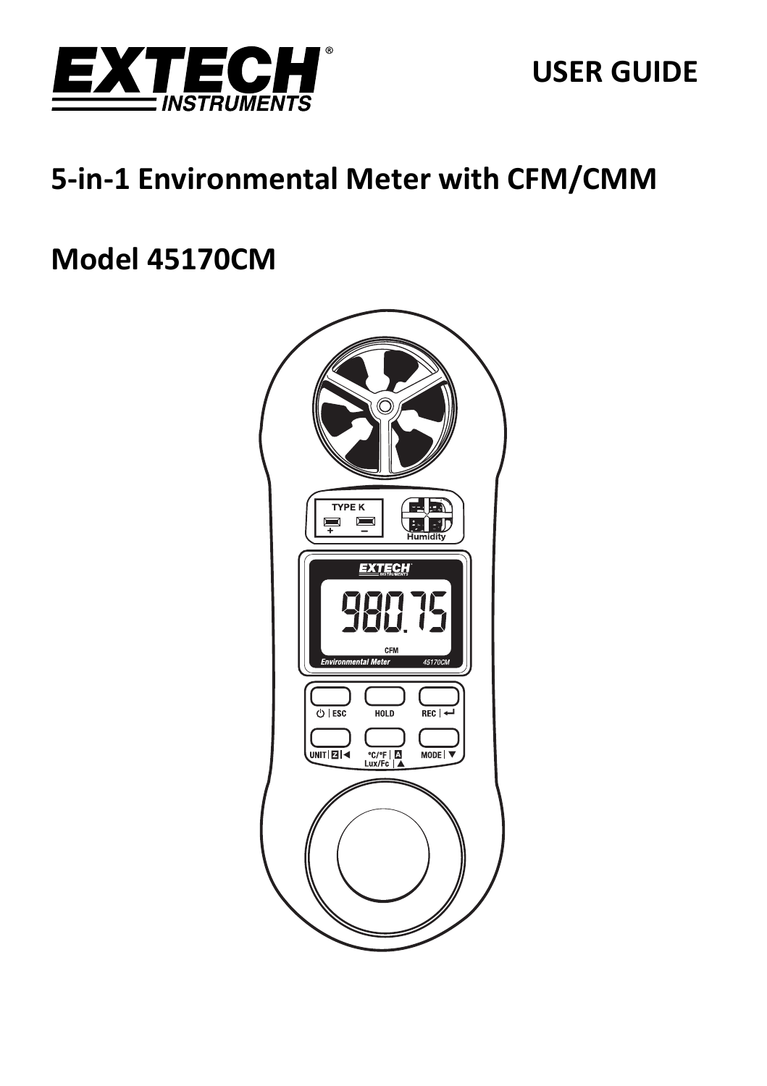

**USER GUIDE** 

# 5-in-1 Environmental Meter with CFM/CMM

# **Model 45170CM**

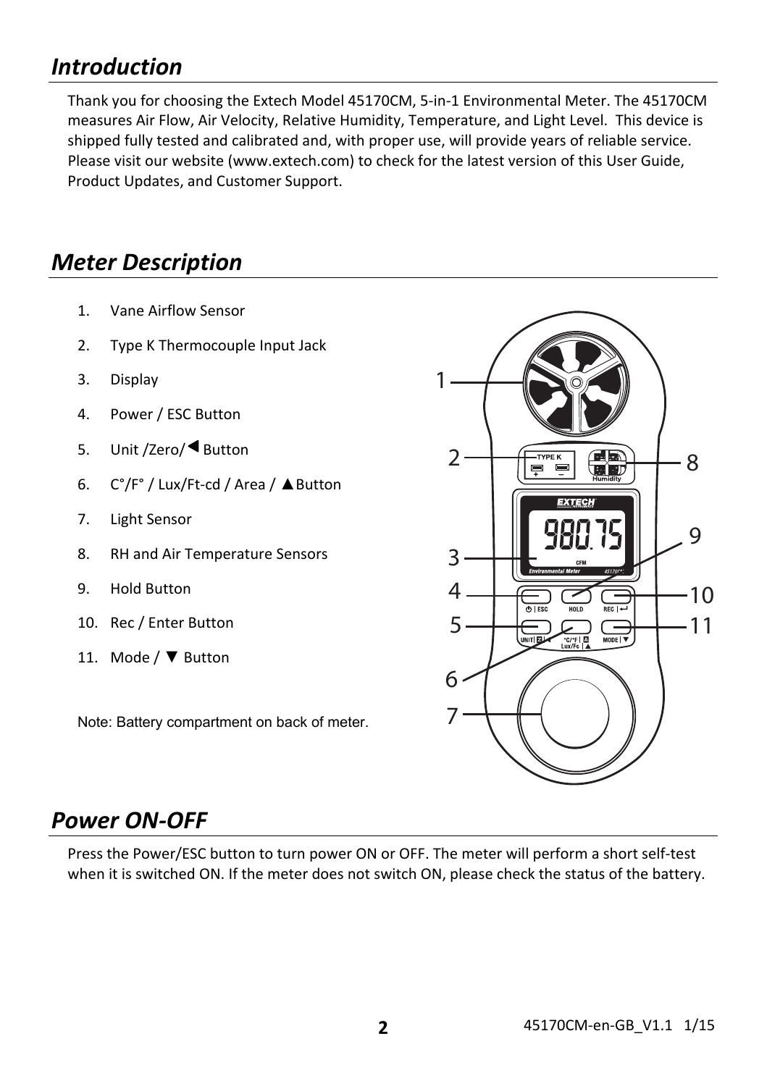## *Introduction*

Thank you for choosing the Extech Model 45170CM, 5‐in‐1 Environmental Meter. The 45170CM measures Air Flow, Air Velocity, Relative Humidity, Temperature, and Light Level. This device is shipped fully tested and calibrated and, with proper use, will provide years of reliable service. Please visit our website (www.extech.com) to check for the latest version of this User Guide, Product Updates, and Customer Support.

## *Meter Description*

- 1. Vane Airflow Sensor
- 2. Type K Thermocouple Input Jack
- 3. Display
- 4. Power / ESC Button
- 5. Unit /Zero/ Button
- 6. C°/F° / Lux/Ft‐cd / Area / ▲Button
- 7. Light Sensor
- 8. RH and Air Temperature Sensors
- 9. Hold Button
- 10. Rec / Enter Button
- 11. Mode / ▼ Button

Note: Battery compartment on back of meter.



### *Power ON‐OFF*

Press the Power/ESC button to turn power ON or OFF. The meter will perform a short self‐test when it is switched ON. If the meter does not switch ON, please check the status of the battery.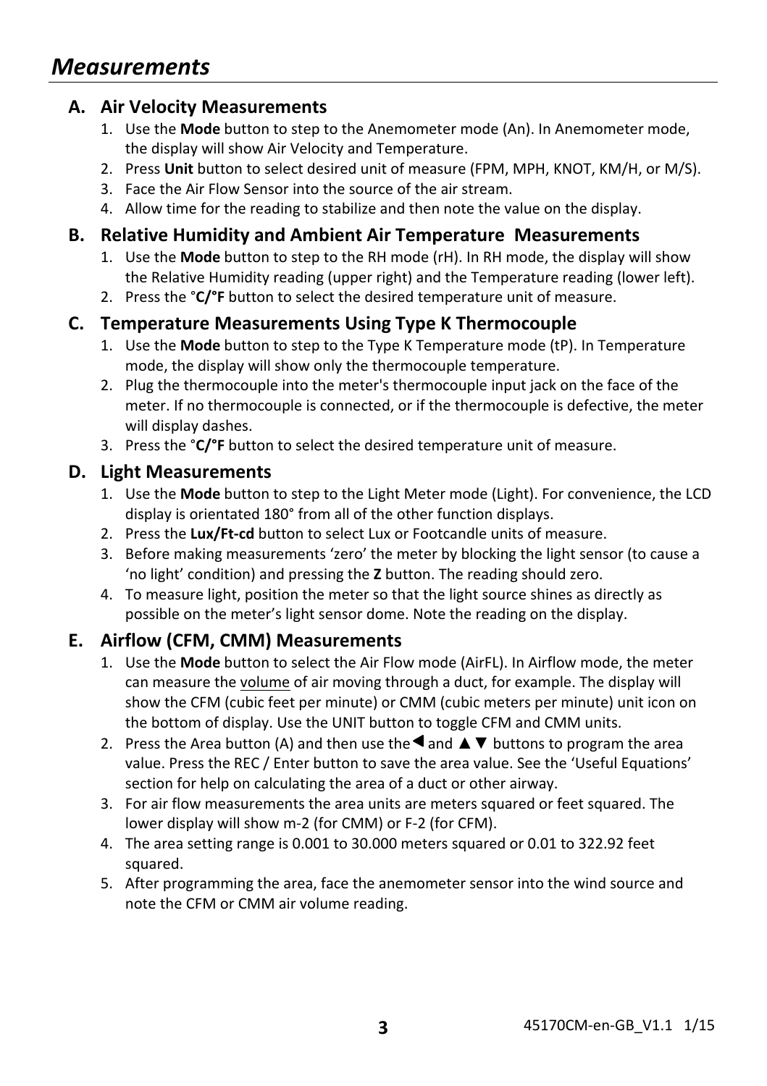#### **A. Air Velocity Measurements**

- 1. Use the **Mode** button to step to the Anemometer mode (An). In Anemometer mode, the display will show Air Velocity and Temperature.
- 2. Press **Unit** button to select desired unit of measure (FPM, MPH, KNOT, KM/H, or M/S).
- 3. Face the Air Flow Sensor into the source of the air stream.
- 4. Allow time for the reading to stabilize and then note the value on the display.

#### **B. Relative Humidity and Ambient Air Temperature Measurements**

- 1. Use the **Mode** button to step to the RH mode (rH). In RH mode, the display will show the Relative Humidity reading (upper right) and the Temperature reading (lower left).
- 2. Press the °**C/°F** button to select the desired temperature unit of measure.

#### **C. Temperature Measurements Using Type K Thermocouple**

- 1. Use the **Mode** button to step to the Type K Temperature mode (tP). In Temperature mode, the display will show only the thermocouple temperature.
- 2. Plug the thermocouple into the meter's thermocouple input jack on the face of the meter. If no thermocouple is connected, or if the thermocouple is defective, the meter will display dashes.
- 3. Press the °**C/°F** button to select the desired temperature unit of measure.

#### **D. Light Measurements**

- 1. Use the **Mode** button to step to the Light Meter mode (Light). For convenience, the LCD display is orientated 180° from all of the other function displays.
- 2. Press the **Lux/Ft‐cd** button to select Lux or Footcandle units of measure.
- 3. Before making measurements 'zero' the meter by blocking the light sensor (to cause a 'no light' condition) and pressing the **Z** button. The reading should zero.
- 4. To measure light, position the meter so that the light source shines as directly as possible on the meter's light sensor dome. Note the reading on the display.

#### **E. Airflow (CFM, CMM) Measurements**

- 1. Use the **Mode** button to select the Air Flow mode (AirFL). In Airflow mode, the meter can measure the volume of air moving through a duct, for example. The display will show the CFM (cubic feet per minute) or CMM (cubic meters per minute) unit icon on the bottom of display. Use the UNIT button to toggle CFM and CMM units.
- 2. Press the Area button (A) and then use the  $\blacktriangle$  and  $\blacktriangle$   $\blacktriangledown$  buttons to program the area value. Press the REC / Enter button to save the area value. See the 'Useful Equations' section for help on calculating the area of a duct or other airway.
- 3. For air flow measurements the area units are meters squared or feet squared. The lower display will show m‐2 (for CMM) or F‐2 (for CFM).
- 4. The area setting range is 0.001 to 30.000 meters squared or 0.01 to 322.92 feet squared.
- 5. After programming the area, face the anemometer sensor into the wind source and note the CFM or CMM air volume reading.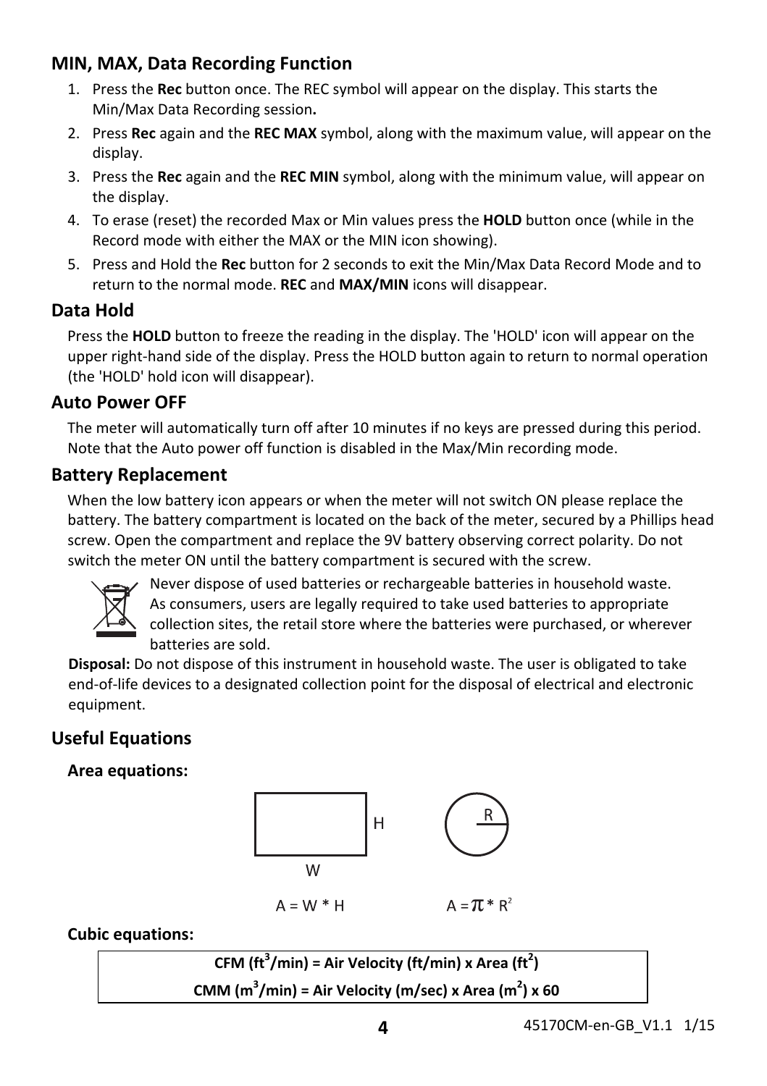#### **MIN, MAX, Data Recording Function**

- 1. Press the **Rec** button once. The REC symbol will appear on the display. This starts the Min/Max Data Recording session**.**
- 2. Press **Rec** again and the **REC MAX** symbol, along with the maximum value, will appear on the display.
- 3. Press the **Rec** again and the **REC MIN** symbol, along with the minimum value, will appear on the display.
- 4. To erase (reset) the recorded Max or Min values press the **HOLD** button once (while in the Record mode with either the MAX or the MIN icon showing).
- 5. Press and Hold the **Rec** button for 2 seconds to exit the Min/Max Data Record Mode and to return to the normal mode. **REC** and **MAX/MIN** icons will disappear.

#### **Data Hold**

Press the **HOLD** button to freeze the reading in the display. The 'HOLD' icon will appear on the upper right-hand side of the display. Press the HOLD button again to return to normal operation (the 'HOLD' hold icon will disappear).

#### **Auto Power OFF**

The meter will automatically turn off after 10 minutes if no keys are pressed during this period. Note that the Auto power off function is disabled in the Max/Min recording mode.

#### **Battery Replacement**

When the low battery icon appears or when the meter will not switch ON please replace the battery. The battery compartment is located on the back of the meter, secured by a Phillips head screw. Open the compartment and replace the 9V battery observing correct polarity. Do not switch the meter ON until the battery compartment is secured with the screw.



Never dispose of used batteries or rechargeable batteries in household waste. As consumers, users are legally required to take used batteries to appropriate collection sites, the retail store where the batteries were purchased, or wherever batteries are sold.

**Disposal:** Do not dispose of this instrument in household waste. The user is obligated to take end‐of‐life devices to a designated collection point for the disposal of electrical and electronic equipment.

### **Useful Equations**

**Area equations:**



**Cubic equations:**

 $CFM$   $(\text{ft}^3/\text{min})$  = Air Velocity  $(\text{ft}/\text{min})$  x Area  $(\text{ft}^2)$ **CMM (m3 /min) = Air Velocity (m/sec) x Area (m2 ) x 60**